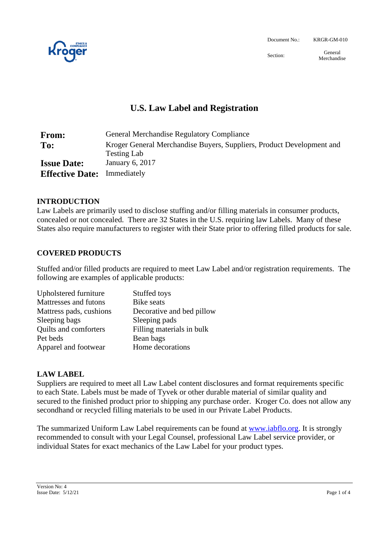

Document No.: KRGR-GM-010

Section: General Merchandise

# **U.S. Law Label and Registration**

| <b>From:</b>           | <b>General Merchandise Regulatory Compliance</b>                                            |
|------------------------|---------------------------------------------------------------------------------------------|
| To:                    | Kroger General Merchandise Buyers, Suppliers, Product Development and<br><b>Testing Lab</b> |
| <b>Issue Date:</b>     | January 6, 2017                                                                             |
| <b>Effective Date:</b> | Immediately                                                                                 |

## **INTRODUCTION**

Law Labels are primarily used to disclose stuffing and/or filling materials in consumer products, concealed or not concealed. There are 32 States in the U.S. requiring law Labels. Many of these States also require manufacturers to register with their State prior to offering filled products for sale.

## **COVERED PRODUCTS**

Stuffed and/or filled products are required to meet Law Label and/or registration requirements. The following are examples of applicable products:

| Stuffed toys              |
|---------------------------|
| <b>Bike</b> seats         |
| Decorative and bed pillow |
| Sleeping pads             |
| Filling materials in bulk |
| Bean bags                 |
| Home decorations          |
|                           |

## **LAW LABEL**

Suppliers are required to meet all Law Label content disclosures and format requirements specific to each State. Labels must be made of Tyvek or other durable material of similar quality and secured to the finished product prior to shipping any purchase order. Kroger Co. does not allow any secondhand or recycled filling materials to be used in our Private Label Products.

The summarized Uniform Law Label requirements can be found at [www.iabflo.org.](http://www.iabflo.org/) It is strongly recommended to consult with your Legal Counsel, professional Law Label service provider, or individual States for exact mechanics of the Law Label for your product types.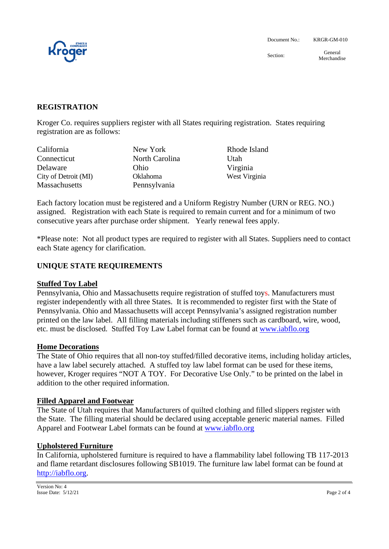

Section: General Merchandise

### **REGISTRATION**

Kroger Co. requires suppliers register with all States requiring registration. States requiring registration are as follows:

| California           | New York        | Rhode Island  |
|----------------------|-----------------|---------------|
| Connecticut          | North Carolina  | Utah          |
| Delaware             | Ohio            | Virginia      |
| City of Detroit (MI) | <b>Oklahoma</b> | West Virginia |
| <b>Massachusetts</b> | Pennsylvania    |               |

Each factory location must be registered and a Uniform Registry Number (URN or REG. NO.) assigned. Registration with each State is required to remain current and for a minimum of two consecutive years after purchase order shipment. Yearly renewal fees apply.

\*Please note: Not all product types are required to register with all States. Suppliers need to contact each State agency for clarification.

#### **UNIQUE STATE REQUIREMENTS**

#### **Stuffed Toy Label**

Pennsylvania, Ohio and Massachusetts require registration of stuffed toys. Manufacturers must register independently with all three States. It is recommended to register first with the State of Pennsylvania. Ohio and Massachusetts will accept Pennsylvania's assigned registration number printed on the law label. All filling materials including stiffeners such as cardboard, wire, wood, etc. must be disclosed. Stuffed Toy Law Label format can be found at [www.iabflo.org](http://www.iabflo.org/)

#### **Home Decorations**

The State of Ohio requires that all non-toy stuffed/filled decorative items, including holiday articles, have a law label securely attached. A stuffed toy law label format can be used for these items, however, Kroger requires "NOT A TOY. For Decorative Use Only." to be printed on the label in addition to the other required information.

#### **Filled Apparel and Footwear**

The State of Utah requires that Manufacturers of quilted clothing and filled slippers register with the State. The filling material should be declared using acceptable generic material names. Filled Apparel and Footwear Label formats can be found at [www.iabflo.org](http://www.iabflo.org/)

#### **Upholstered Furniture**

In California, upholstered furniture is required to have a flammability label following TB 117-2013 and flame retardant disclosures following SB1019. The furniture law label format can be found at [http://iabflo.org.](http://iabflo.org/)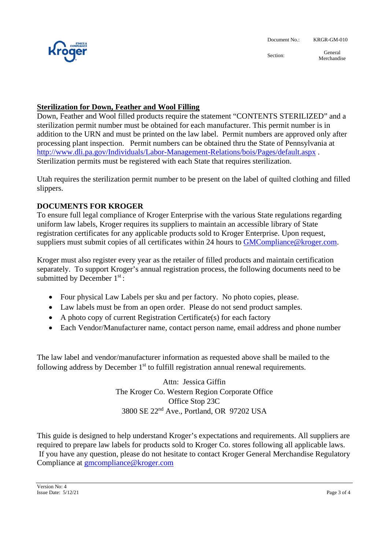

Section: General Merchandise

## **Sterilization for Down, Feather and Wool Filling**

Down, Feather and Wool filled products require the statement "CONTENTS STERILIZED" and a sterilization permit number must be obtained for each manufacturer. This permit number is in addition to the URN and must be printed on the law label. Permit numbers are approved only after processing plant inspection. Permit numbers can be obtained thru the State of Pennsylvania at <http://www.dli.pa.gov/Individuals/Labor-Management-Relations/bois/Pages/default.aspx> . Sterilization permits must be registered with each State that requires sterilization.

Utah requires the sterilization permit number to be present on the label of quilted clothing and filled slippers.

## **DOCUMENTS FOR KROGER**

To ensure full legal compliance of Kroger Enterprise with the various State regulations regarding uniform law labels, Kroger requires its suppliers to maintain an accessible library of State registration certificates for any applicable products sold to Kroger Enterprise. Upon request, suppliers must submit copies of all certificates within 24 hours to **GMCompliance**@kroger.com.

Kroger must also register every year as the retailer of filled products and maintain certification separately. To support Kroger's annual registration process, the following documents need to be submitted by December 1st:

- Four physical Law Labels per sku and per factory. No photo copies, please.
- Law labels must be from an open order. Please do not send product samples.
- A photo copy of current Registration Certificate(s) for each factory
- Each Vendor/Manufacturer name, contact person name, email address and phone number

The law label and vendor/manufacturer information as requested above shall be mailed to the following address by December  $1<sup>st</sup>$  to fulfill registration annual renewal requirements.

> Attn: Jessica Giffin The Kroger Co. Western Region Corporate Office Office Stop 23C 3800 SE 22nd Ave., Portland, OR 97202 USA

This guide is designed to help understand Kroger's expectations and requirements. All suppliers are required to prepare law labels for products sold to Kroger Co. stores following all applicable laws. If you have any question, please do not hesitate to contact Kroger General Merchandise Regulatory Compliance at **gmcompliance@kroger.com**